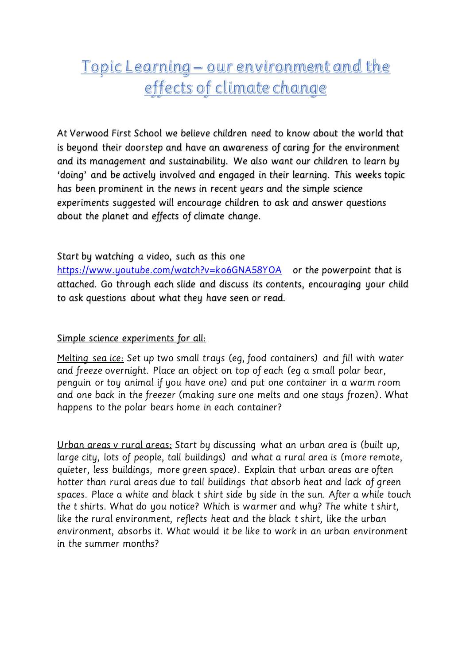## Topic Learning - our environment and the effects of climate change

*At Verwood First School we believe children need to know about the world that is beyond their doorstep and have an awareness of caring for the environment and its management and sustainability. We also want our children to learn by 'doing' and be actively involved and engaged in their learning. This weeks topic has been prominent in the news in recent years and the simple science experiments suggested will encourage children to ask and answer questions about the planet and effects of climate change.* 

## *Start by watching a video, such as this one*

*<https://www.youtube.com/watch?v=ko6GNA58YOA> or the powerpoint that is attached. Go through each slide and discuss its contents, encouraging your child to ask questions about what they have seen or read.*

## *Simple science experiments for all:*

*Melting sea ice: Set up two small trays (eg, food containers) and fill with water and freeze overnight. Place an object on top of each (eg a small polar bear, penguin or toy animal if you have one) and put one container in a warm room and one back in the freezer (making sure one melts and one stays frozen). What happens to the polar bears home in each container?*

*Urban areas v rural areas: Start by discussing what an urban area is (built up, large city, lots of people, tall buildings) and what a rural area is (more remote, quieter, less buildings, more green space). Explain that urban areas are often hotter than rural areas due to tall buildings that absorb heat and lack of green spaces. Place a white and black t shirt side by side in the sun. After a while touch the t shirts. What do you notice? Which is warmer and why? The white t shirt, like the rural environment, reflects heat and the black t shirt, like the urban environment, absorbs it. What would it be like to work in an urban environment in the summer months?*